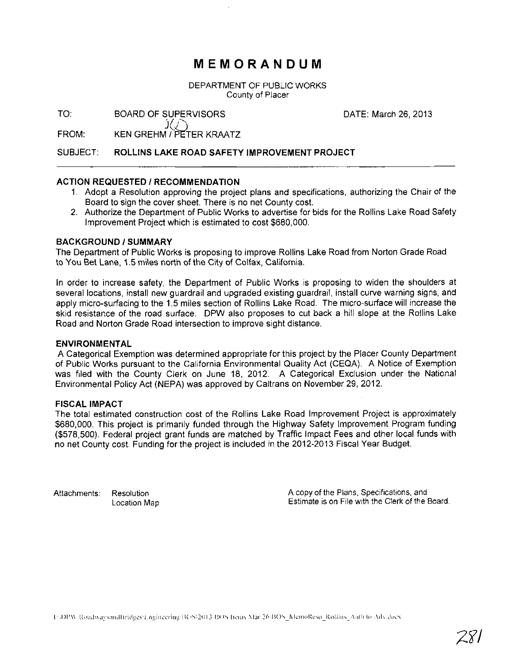## **MEMORANDUM**

DEPARTMENT OF PUBLIC WORKS County of Placer

TO: DATE: March 26, 2013 BOARD OF SUPERVISORS

FROM:  $\widetilde{\mathcal{Y}}(\bar{\bigcirc})$ KEN GREHM I PE'TER KRAATZ

#### SUBJECT: **ROLLINS LAKE** ROAD **SAFETY IMPROVEMENT PROJECT**

### **ACTION REQUESTED / RECOMMENDATION**

- 1. Adopt a Resolution approving the project plans and specifications, authorizing the Chair of the Board to sign the cover sheet. There is no net County cost.
- 2. Authorize the Department of Public Works to advertise for bids for the Rollins Lake Road Safety Improvement Project which is estimated to cost \$680,000.

### **BACKGROUND/SUMMARY**

The Department of Public Works is proposing to improve Rollins Lake Road from Norton Grade Road to You Bet Lane, 1.5 miles north of the City of Colfax, California.

In order to increase safety, the Department of Public Works is proposing to widen the shoulders at several locations, install new guardrail and upgraded existing guardrail, install curve warning signs, and apply micro-surfacing to the 1.5 miles section of Rollins Lake Road. The micro-surface will increase the skid resistance of the road surface. DPW also proposes to cut back a hill slope at the Rollins Lake Road and Norton Grade Road intersection to improve sight distance.

### **ENVIRONMENTAL**

A Categorical Exemption was determined appropriate for this project by the Placer County Department of Public Works pursuant to the California Environmental Quality Act (CEQA). A Notice of Exemption was filed with the County Clerk on June 18, 2012. A Categorical Exclusion under the National Environmental Policy Act (NEPA) was approved by Caltrans on November 29, 2012.

### **FISCAL IMPACT**

The total estimated construction cost of the Rollins Lake Road Improvement Project is approximately \$680,000. This project is primarily funded through the Highway Safety Improvement Program funding (\$578,500). Federal project grant funds are matched by Traffic Impact Fees and other local funds with no net County cost. Funding for the project is included in the 2012-2013 Fiscal Year Budget.

Attachments: Resolution Location Map A copy of the Plans, Specifications, and Estimate is on File With the Clerk of the Board.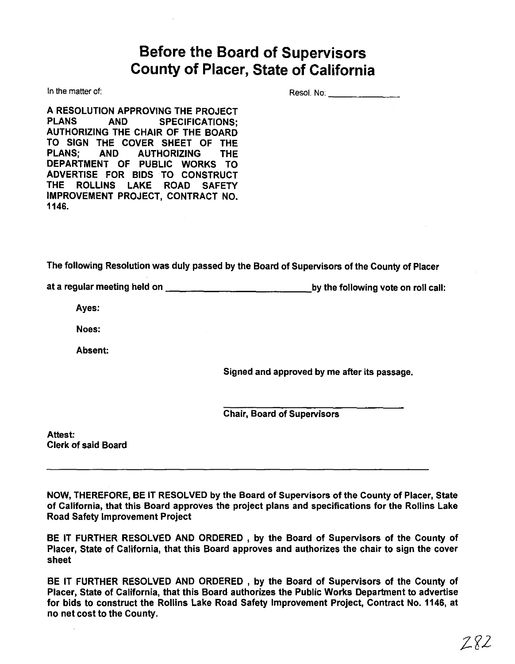## **Before the Board of Supervisors County of Placer, State of California**

In the matter of:

Reso!. No: \_

A RESOLUTION APPROVING THE PROJECT PLANS AND SPECIFICATIONS; AUTHORIZING THE CHAIR OF THE BOARD TO SIGN THE COVER SHEET OF THE PLANS; AND AUTHORIZING THE DEPARTMENT OF PUBLIC WORKS TO ADVERTISE FOR BIDS TO CONSTRUCT THE ROLLINS LAKE ROAD SAFETY IMPROVEMENT PROJECT, CONTRACT NO. 1146.

The following Resolution was duly passed by the Board of Supervisors of the County of Placer

at a regular meeting held on  $\underline{\qquad \qquad }$  ,  $\underline{\qquad \qquad }$  by the following vote on roll call:

Ayes:

Noes:

Absent:

Signed and approved by me after its passage.

Chair, Board of Supervisors

Attest: Clerk of said Board

NOW, THEREFORE, BE IT RESOLVED by the Board of Supervisors of the County of Placer, State of California, that this Board approves the project plans and specifications for the Rollins Lake Road Safety Improvement Project

BE IT FURTHER RESOLVED AND ORDERED, by the Board of Supervisors of the County of Placer, State of California, that this Board approves and authorizes the chair to sign the cover sheet

BE IT FURTHER RESOLVED AND ORDERED, by the Board of Supervisors of the County of Placer, State of California, that this Board authorizes the Public Works Department to advertise for bids to construct the Rollins Lake Road Safety Improvement Project, Contract No. 1146, at no net cost to the County.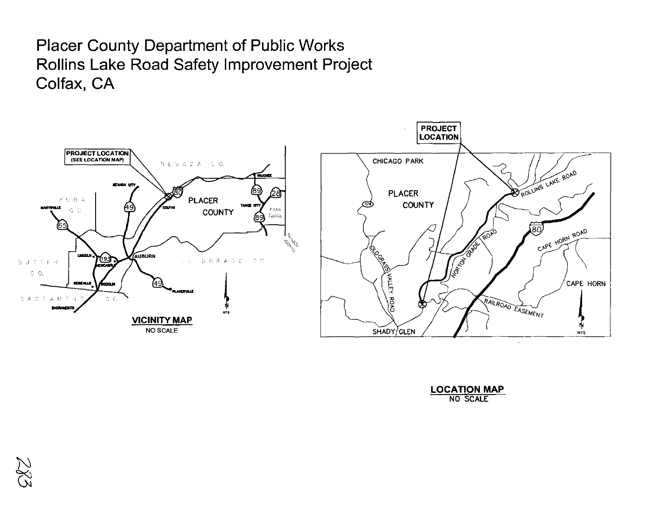## **Placer County Department of Public Works** Rollins Lake Road Safety Improvement Project Colfax, CA



| <b>LOCATION MAP</b> |          |  |
|---------------------|----------|--|
|                     | NO SCALE |  |